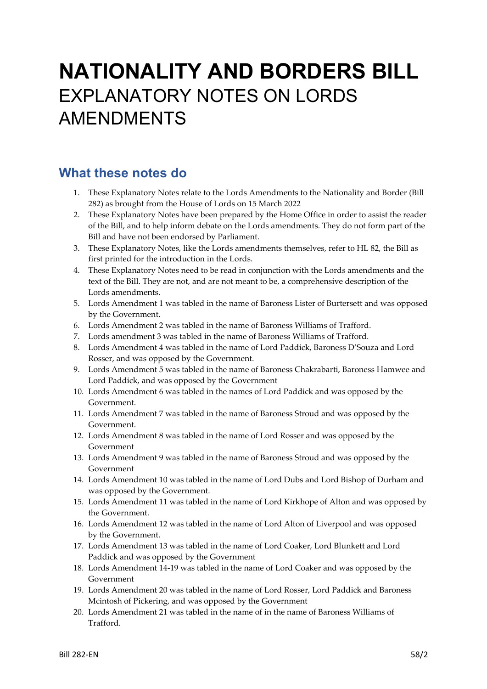# **NATIONALITY AND BORDERS BILL** EXPLANATORY NOTES ON LORDS AMENDMENTS

# **What these notes do**

- 1. These Explanatory Notes relate to the Lords Amendments to the Nationality and Border (Bill 282) as brought from the House of Lords on 15 March 2022
- 2. These Explanatory Notes have been prepared by the Home Office in order to assist the reader of the Bill, and to help inform debate on the Lords amendments. They do not form part of the Bill and have not been endorsed by Parliament.
- 3. These Explanatory Notes, like the Lords amendments themselves, refer to HL 82, the Bill as first printed for the introduction in the Lords.
- 4. These Explanatory Notes need to be read in conjunction with the Lords amendments and the text of the Bill. They are not, and are not meant to be, a comprehensive description of the Lords amendments.
- 5. Lords Amendment 1 was tabled in the name of Baroness Lister of Burtersett and was opposed by the Government.
- 6. Lords Amendment 2 was tabled in the name of Baroness Williams of Trafford.
- 7. Lords amendment 3 was tabled in the name of Baroness Williams of Trafford.
- 8. Lords Amendment 4 was tabled in the name of Lord Paddick, Baroness D'Souza and Lord Rosser, and was opposed by the Government.
- 9. Lords Amendment 5 was tabled in the name of Baroness Chakrabarti, Baroness Hamwee and Lord Paddick, and was opposed by the Government
- 10. Lords Amendment 6 was tabled in the names of Lord Paddick and was opposed by the Government.
- 11. Lords Amendment 7 was tabled in the name of Baroness Stroud and was opposed by the Government.
- 12. Lords Amendment 8 was tabled in the name of Lord Rosser and was opposed by the Government
- 13. Lords Amendment 9 was tabled in the name of Baroness Stroud and was opposed by the Government
- 14. Lords Amendment 10 was tabled in the name of Lord Dubs and Lord Bishop of Durham and was opposed by the Government.
- 15. Lords Amendment 11 was tabled in the name of Lord Kirkhope of Alton and was opposed by the Government.
- 16. Lords Amendment 12 was tabled in the name of Lord Alton of Liverpool and was opposed by the Government.
- 17. Lords Amendment 13 was tabled in the name of Lord Coaker, Lord Blunkett and Lord Paddick and was opposed by the Government
- 18. Lords Amendment 14-19 was tabled in the name of Lord Coaker and was opposed by the Government
- 19. Lords Amendment 20 was tabled in the name of Lord Rosser, Lord Paddick and Baroness Mcintosh of Pickering, and was opposed by the Government
- 20. Lords Amendment 21 was tabled in the name of in the name of Baroness Williams of Trafford.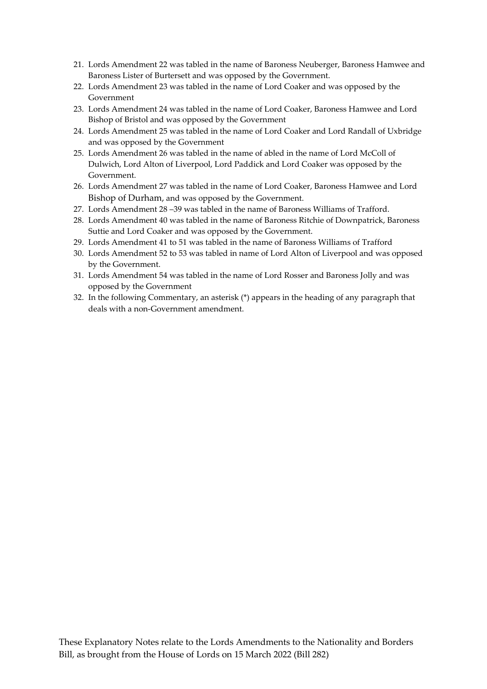- 21. Lords Amendment 22 was tabled in the name of Baroness Neuberger, Baroness Hamwee and Baroness Lister of Burtersett and was opposed by the Government.
- 22. Lords Amendment 23 was tabled in the name of Lord Coaker and was opposed by the Government
- 23. Lords Amendment 24 was tabled in the name of Lord Coaker, Baroness Hamwee and Lord Bishop of Bristol and was opposed by the Government
- 24. Lords Amendment 25 was tabled in the name of Lord Coaker and Lord Randall of Uxbridge and was opposed by the Government
- 25. Lords Amendment 26 was tabled in the name of abled in the name of Lord McColl of Dulwich, Lord Alton of Liverpool, Lord Paddick and Lord Coaker was opposed by the Government.
- 26. Lords Amendment 27 was tabled in the name of Lord Coaker, Baroness Hamwee and Lord Bishop of Durham, and was opposed by the Government.
- 27. Lords Amendment 28 –39 was tabled in the name of Baroness Williams of Trafford.
- 28. Lords Amendment 40 was tabled in the name of Baroness Ritchie of Downpatrick, Baroness Suttie and Lord Coaker and was opposed by the Government.
- 29. Lords Amendment 41 to 51 was tabled in the name of Baroness Williams of Trafford
- 30. Lords Amendment 52 to 53 was tabled in name of Lord Alton of Liverpool and was opposed by the Government.
- 31. Lords Amendment 54 was tabled in the name of Lord Rosser and Baroness Jolly and was opposed by the Government
- 32. In the following Commentary, an asterisk (\*) appears in the heading of any paragraph that deals with a non-Government amendment.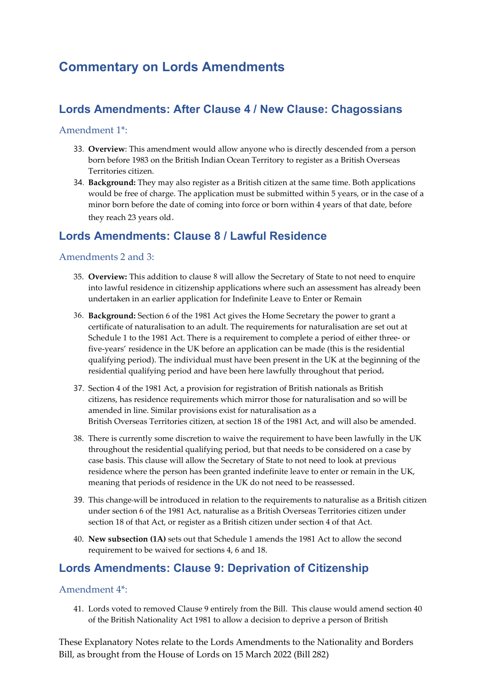# **Commentary on Lords Amendments**

# **Lords Amendments: After Clause 4 / New Clause: Chagossians**

#### Amendment 1\*:

- 33. **Overview**: This amendment would allow anyone who is directly descended from a person born before 1983 on the British Indian Ocean Territory to register as a British Overseas Territories citizen.
- 34. **Background:** They may also register as a British citizen at the same time. Both applications would be free of charge. The application must be submitted within 5 years, or in the case of a minor born before the date of coming into force or born within 4 years of that date, before they reach 23 years old.

### **Lords Amendments: Clause 8 / Lawful Residence**

#### Amendments 2 and 3:

- 35. **Overview:** This addition to clause 8 will allow the Secretary of State to not need to enquire into lawful residence in citizenship applications where such an assessment has already been undertaken in an earlier application for Indefinite Leave to Enter or Remain
- 36. **Background:** Section 6 of the 1981 Act gives the Home Secretary the power to grant a certificate of naturalisation to an adult. The requirements for naturalisation are set out at Schedule 1 to the 1981 Act. There is a requirement to complete a period of either three- or five-years' residence in the UK before an application can be made (this is the residential qualifying period). The individual must have been present in the UK at the beginning of the residential qualifying period and have been here lawfully throughout that period.
- 37. Section 4 of the 1981 Act, a provision for registration of British nationals as British citizens, has residence requirements which mirror those for naturalisation and so will be amended in line. Similar provisions exist for naturalisation as a British Overseas Territories citizen, at section 18 of the 1981 Act, and will also be amended.
- 38. There is currently some discretion to waive the requirement to have been lawfully in the UK throughout the residential qualifying period, but that needs to be considered on a case by case basis. This clause will allow the Secretary of State to not need to look at previous residence where the person has been granted indefinite leave to enter or remain in the UK, meaning that periods of residence in the UK do not need to be reassessed.
- 39. This change will be introduced in relation to the requirements to naturalise as a British citizen under section 6 of the 1981 Act, naturalise as a British Overseas Territories citizen under section 18 of that Act, or register as a British citizen under section 4 of that Act.
- 40. **New subsection (1A)** sets out that Schedule 1 amends the 1981 Act to allow the second requirement to be waived for sections 4, 6 and 18.

### **Lords Amendments: Clause 9: Deprivation of Citizenship**

#### Amendment 4\*:

41. Lords voted to removed Clause 9 entirely from the Bill. This clause would amend section 40 of the British Nationality Act 1981 to allow a decision to deprive a person of British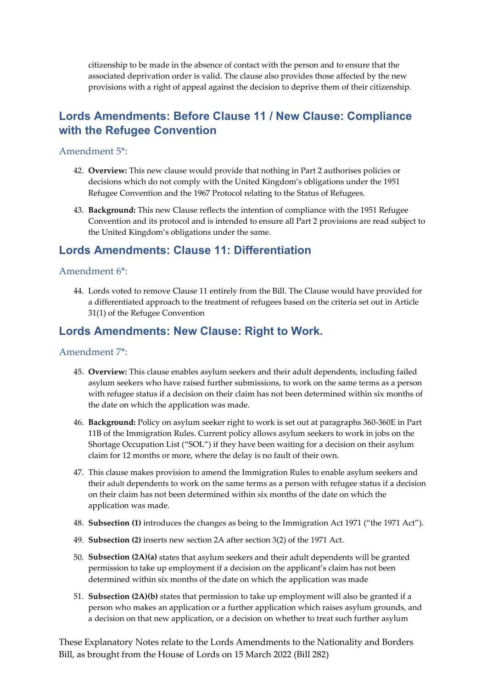citizenship to be made in the absence of contact with the person and to ensure that the associated deprivation order is valid. The clause also provides those affected by the new provisions with a right of appeal against the decision to deprive them of their citizenship.

# **Lords Amendments: Before Clause 11 / New Clause: Compliance with the Refugee Convention**

#### Amendment 5\*:

- 42. **Overview:** This new clause would provide that nothing in Part 2 authorises policies or decisions which do not comply with the United Kingdom's obligations under the 1951 Refugee Convention and the 1967 Protocol relating to the Status of Refugees.
- 43. **Background:** This new Clause reflects the intention of compliance with the 1951 Refugee Convention and its protocol and is intended to ensure all Part 2 provisions are read subject to the United Kingdom's obligations under the same.

### **Lords Amendments: Clause 11: Differentiation**

#### Amendment 6\*:

44. Lords voted to remove Clause 11 entirely from the Bill. The Clause would have provided for a differentiated approach to the treatment of refugees based on the criteria set out in Article 31(1) of the Refugee Convention

#### **Lords Amendments: New Clause: Right to Work.**

#### Amendment 7\*:

- 45. **Overview:** This clause enables asylum seekers and their adult dependents, including failed asylum seekers who have raised further submissions, to work on the same terms as a person with refugee status if a decision on their claim has not been determined within six months of the date on which the application was made.
- 46. **Background:** Policy on asylum seeker right to work is set out at paragraphs 360-360E in Part 11B of the Immigration Rules. Current policy allows asylum seekers to work in jobs on the Shortage Occupation List ("SOL") if they have been waiting for a decision on their asylum claim for 12 months or more, where the delay is no fault of their own.
- 47. This clause makes provision to amend the Immigration Rules to enable asylum seekers and their adult dependents to work on the same terms as a person with refugee status if a decision on their claim has not been determined within six months of the date on which the application was made.
- 48. **Subsection (1)** introduces the changes as being to the Immigration Act 1971 ("the 1971 Act").
- 49. **Subsection (2)** inserts new section 2A after section 3(2) of the 1971 Act.
- 50. **Subsection (2A)(a)** states that asylum seekers and their adult dependents will be granted permission to take up employment if a decision on the applicant's claim has not been determined within six months of the date on which the application was made
- 51. **Subsection (2A)(b)** states that permission to take up employment will also be granted if a person who makes an application or a further application which raises asylum grounds, and a decision on that new application, or a decision on whether to treat such further asylum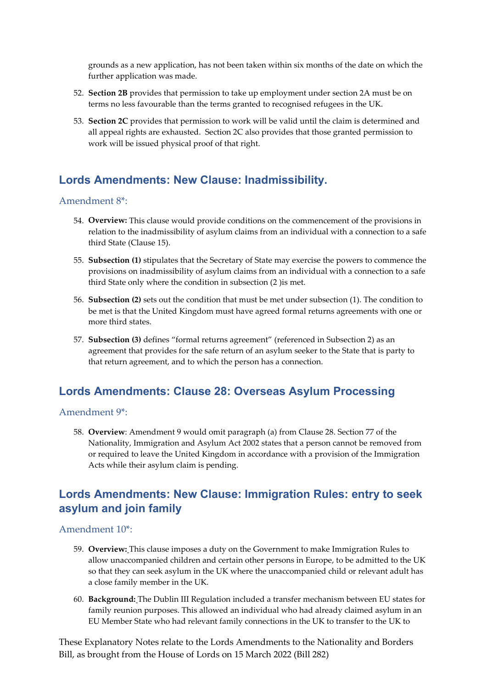grounds as a new application, has not been taken within six months of the date on which the further application was made.

- 52. **Section 2B** provides that permission to take up employment under section 2A must be on terms no less favourable than the terms granted to recognised refugees in the UK.
- 53. **Section 2C** provides that permission to work will be valid until the claim is determined and all appeal rights are exhausted. Section 2C also provides that those granted permission to work will be issued physical proof of that right.

### **Lords Amendments: New Clause: Inadmissibility.**

#### Amendment 8\*:

- 54. **Overview:** This clause would provide conditions on the commencement of the provisions in relation to the inadmissibility of asylum claims from an individual with a connection to a safe third State (Clause 15).
- 55. **Subsection (1)** stipulates that the Secretary of State may exercise the powers to commence the provisions on inadmissibility of asylum claims from an individual with a connection to a safe third State only where the condition in subsection (2 )is met.
- 56. **Subsection (2)** sets out the condition that must be met under subsection (1). The condition to be met is that the United Kingdom must have agreed formal returns agreements with one or more third states.
- 57. **Subsection (3)** defines "formal returns agreement" (referenced in Subsection 2) as an agreement that provides for the safe return of an asylum seeker to the State that is party to that return agreement, and to which the person has a connection.

### **Lords Amendments: Clause 28: Overseas Asylum Processing**

#### Amendment 9\*:

58. **Overview**: Amendment 9 would omit paragraph (a) from Clause 28. Section 77 of the Nationality, Immigration and Asylum Act 2002 states that a person cannot be removed from or required to leave the United Kingdom in accordance with a provision of the Immigration Acts while their asylum claim is pending.

### **Lords Amendments: New Clause: Immigration Rules: entry to seek asylum and join family**

#### Amendment 10\*:

- 59. **Overview:** This clause imposes a duty on the Government to make Immigration Rules to allow unaccompanied children and certain other persons in Europe, to be admitted to the UK so that they can seek asylum in the UK where the unaccompanied child or relevant adult has a close family member in the UK.
- 60. **Background:** The Dublin III Regulation included a transfer mechanism between EU states for family reunion purposes. This allowed an individual who had already claimed asylum in an EU Member State who had relevant family connections in the UK to transfer to the UK to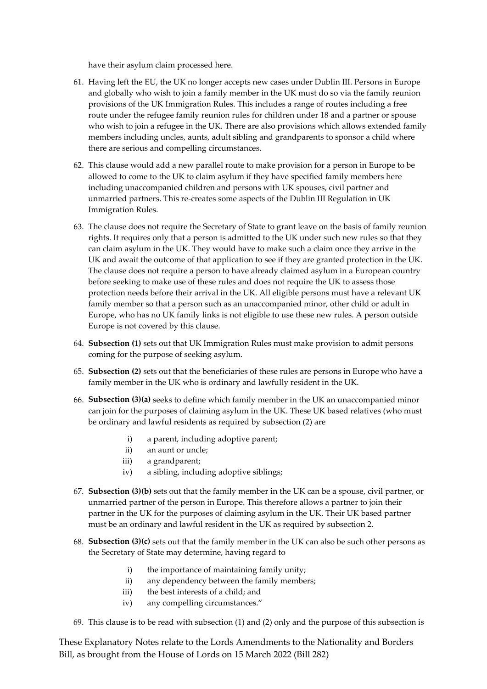have their asylum claim processed here.

- 61. Having left the EU, the UK no longer accepts new cases under Dublin III. Persons in Europe and globally who wish to join a family member in the UK must do so via the family reunion provisions of the UK Immigration Rules. This includes a range of routes including a free route under the refugee family reunion rules for children under 18 and a partner or spouse who wish to join a refugee in the UK. There are also provisions which allows extended family members including uncles, aunts, adult sibling and grandparents to sponsor a child where there are serious and compelling circumstances.
- 62. This clause would add a new parallel route to make provision for a person in Europe to be allowed to come to the UK to claim asylum if they have specified family members here including unaccompanied children and persons with UK spouses, civil partner and unmarried partners. This re-creates some aspects of the Dublin III Regulation in UK Immigration Rules.
- 63. The clause does not require the Secretary of State to grant leave on the basis of family reunion rights. It requires only that a person is admitted to the UK under such new rules so that they can claim asylum in the UK. They would have to make such a claim once they arrive in the UK and await the outcome of that application to see if they are granted protection in the UK. The clause does not require a person to have already claimed asylum in a European country before seeking to make use of these rules and does not require the UK to assess those protection needs before their arrival in the UK. All eligible persons must have a relevant UK family member so that a person such as an unaccompanied minor, other child or adult in Europe, who has no UK family links is not eligible to use these new rules. A person outside Europe is not covered by this clause.
- 64. **Subsection (1)** sets out that UK Immigration Rules must make provision to admit persons coming for the purpose of seeking asylum.
- 65. **Subsection (2)** sets out that the beneficiaries of these rules are persons in Europe who have a family member in the UK who is ordinary and lawfully resident in the UK.
- 66. **Subsection (3)(a)** seeks to define which family member in the UK an unaccompanied minor can join for the purposes of claiming asylum in the UK. These UK based relatives (who must be ordinary and lawful residents as required by subsection (2) are
	- i) a parent, including adoptive parent;
	- ii) an aunt or uncle;
	- iii) a grandparent;
	- iv) a sibling, including adoptive siblings;
- 67. **Subsection (3)(b)** sets out that the family member in the UK can be a spouse, civil partner, or unmarried partner of the person in Europe. This therefore allows a partner to join their partner in the UK for the purposes of claiming asylum in the UK. Their UK based partner must be an ordinary and lawful resident in the UK as required by subsection 2.
- 68. **Subsection (3)(c)** sets out that the family member in the UK can also be such other persons as the Secretary of State may determine, having regard to
	- i) the importance of maintaining family unity;
	- ii) any dependency between the family members;
	- iii) the best interests of a child; and
	- iv) any compelling circumstances."
- 69. This clause is to be read with subsection (1) and (2) only and the purpose of this subsection is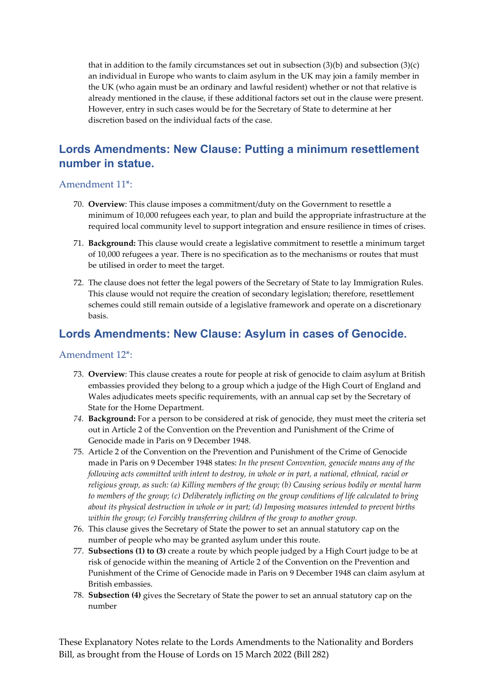that in addition to the family circumstances set out in subsection  $(3)(b)$  and subsection  $(3)(c)$ an individual in Europe who wants to claim asylum in the UK may join a family member in the UK (who again must be an ordinary and lawful resident) whether or not that relative is already mentioned in the clause, if these additional factors set out in the clause were present. However, entry in such cases would be for the Secretary of State to determine at her discretion based on the individual facts of the case.

# **Lords Amendments: New Clause: Putting a minimum resettlement number in statue.**

#### Amendment 11\*:

- 70. **Overview**: This clause imposes a commitment/duty on the Government to resettle a minimum of 10,000 refugees each year, to plan and build the appropriate infrastructure at the required local community level to support integration and ensure resilience in times of crises.
- 71. **Background:** This clause would create a legislative commitment to resettle a minimum target of 10,000 refugees a year. There is no specification as to the mechanisms or routes that must be utilised in order to meet the target.
- 72. The clause does not fetter the legal powers of the Secretary of State to lay Immigration Rules. This clause would not require the creation of secondary legislation; therefore, resettlement schemes could still remain outside of a legislative framework and operate on a discretionary basis.

### **Lords Amendments: New Clause: Asylum in cases of Genocide.**

#### Amendment 12\*:

- 73. **Overview**: This clause creates a route for people at risk of genocide to claim asylum at British embassies provided they belong to a group which a judge of the High Court of England and Wales adjudicates meets specific requirements, with an annual cap set by the Secretary of State for the Home Department.
- *74.* **Background:** For a person to be considered at risk of genocide, they must meet the criteria set out in Article 2 of the Convention on the Prevention and Punishment of the Crime of Genocide made in Paris on 9 December 1948.
- 75. Article 2 of the Convention on the Prevention and Punishment of the Crime of Genocide made in Paris on 9 December 1948 states: *In the present Convention, genocide means any of the following acts committed with intent to destroy, in whole or in part, a national, ethnical, racial or religious group, as such: (a) Killing members of the group; (b) Causing serious bodily or mental harm to members of the group; (c) Deliberately inflicting on the group conditions of life calculated to bring about its physical destruction in whole or in part; (d) Imposing measures intended to prevent births within the group; (e) Forcibly transferring children of the group to another group.*
- 76. This clause gives the Secretary of State the power to set an annual statutory cap on the number of people who may be granted asylum under this route.
- 77. **Subsections (1) to (3)** create a route by which people judged by a High Court judge to be at risk of genocide within the meaning of Article 2 of the Convention on the Prevention and Punishment of the Crime of Genocide made in Paris on 9 December 1948 can claim asylum at British embassies.
- 78. **Subsection (4)** gives the Secretary of State the power to set an annual statutory cap on the number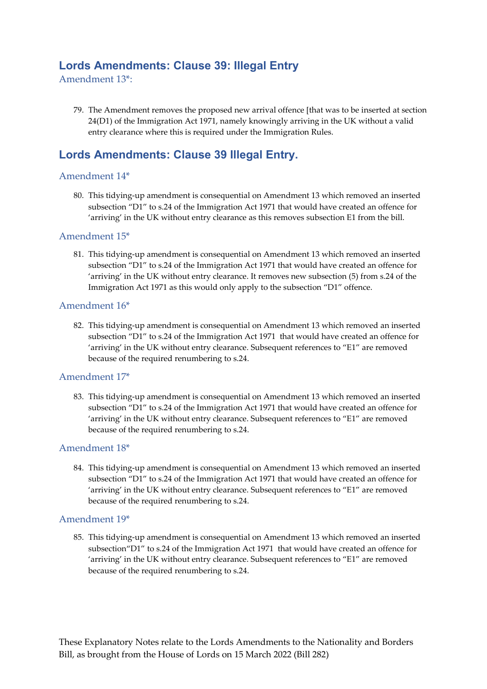# **Lords Amendments: Clause 39: Illegal Entry**

Amendment 13\*:

79. The Amendment removes the proposed new arrival offence [that was to be inserted at section 24(D1) of the Immigration Act 1971, namely knowingly arriving in the UK without a valid entry clearance where this is required under the Immigration Rules.

# **Lords Amendments: Clause 39 Illegal Entry.**

#### Amendment 14\*

80. This tidying-up amendment is consequential on Amendment 13 which removed an inserted subsection "D1" to s.24 of the Immigration Act 1971 that would have created an offence for 'arriving' in the UK without entry clearance as this removes subsection E1 from the bill.

#### Amendment 15\*

81. This tidying-up amendment is consequential on Amendment 13 which removed an inserted subsection "D1" to s.24 of the Immigration Act 1971 that would have created an offence for 'arriving' in the UK without entry clearance. It removes new subsection (5) from s.24 of the Immigration Act 1971 as this would only apply to the subsection "D1" offence.

#### Amendment 16\*

82. This tidying-up amendment is consequential on Amendment 13 which removed an inserted subsection "D1" to s.24 of the Immigration Act 1971 that would have created an offence for 'arriving' in the UK without entry clearance. Subsequent references to "E1" are removed because of the required renumbering to s.24.

#### Amendment 17\*

83. This tidying-up amendment is consequential on Amendment 13 which removed an inserted subsection "D1" to s.24 of the Immigration Act 1971 that would have created an offence for 'arriving' in the UK without entry clearance. Subsequent references to "E1" are removed because of the required renumbering to s.24.

#### Amendment 18\*

84. This tidying-up amendment is consequential on Amendment 13 which removed an inserted subsection "D1" to s.24 of the Immigration Act 1971 that would have created an offence for 'arriving' in the UK without entry clearance. Subsequent references to "E1" are removed because of the required renumbering to s.24.

#### Amendment 19\*

85. This tidying-up amendment is consequential on Amendment 13 which removed an inserted subsection"D1" to s.24 of the Immigration Act 1971 that would have created an offence for 'arriving' in the UK without entry clearance. Subsequent references to "E1" are removed because of the required renumbering to s.24.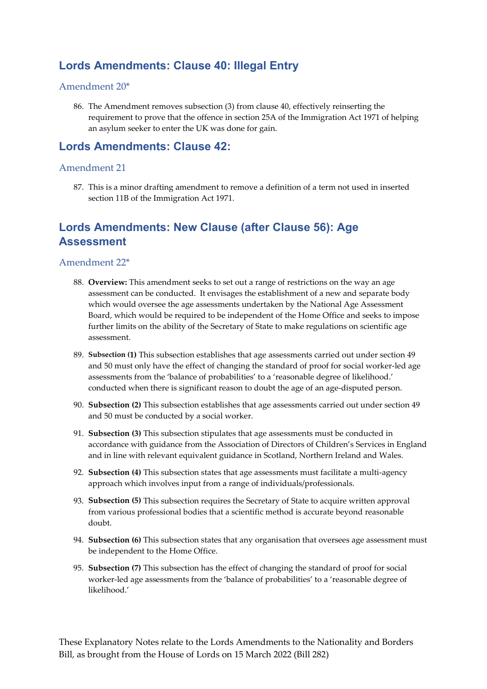# **Lords Amendments: Clause 40: Illegal Entry**

#### Amendment 20\*

86. The Amendment removes subsection (3) from clause 40, effectively reinserting the requirement to prove that the offence in section 25A of the Immigration Act 1971 of helping an asylum seeker to enter the UK was done for gain.

### **Lords Amendments: Clause 42:**

#### Amendment 21

87. This is a minor drafting amendment to remove a definition of a term not used in inserted section 11B of the Immigration Act 1971.

# **Lords Amendments: New Clause (after Clause 56): Age Assessment**

#### Amendment 22\*

- 88. **Overview:** This amendment seeks to set out a range of restrictions on the way an age assessment can be conducted. It envisages the establishment of a new and separate body which would oversee the age assessments undertaken by the National Age Assessment Board, which would be required to be independent of the Home Office and seeks to impose further limits on the ability of the Secretary of State to make regulations on scientific age assessment.
- 89. **Subsection (1)** This subsection establishes that age assessments carried out under section 49 and 50 must only have the effect of changing the standard of proof for social worker-led age assessments from the 'balance of probabilities' to a 'reasonable degree of likelihood.' conducted when there is significant reason to doubt the age of an age-disputed person.
- 90. **Subsection (2)** This subsection establishes that age assessments carried out under section 49 and 50 must be conducted by a social worker.
- 91. **Subsection (3)** This subsection stipulates that age assessments must be conducted in accordance with guidance from the Association of Directors of Children's Services in England and in line with relevant equivalent guidance in Scotland, Northern Ireland and Wales.
- 92. **Subsection (4)** This subsection states that age assessments must facilitate a multi-agency approach which involves input from a range of individuals/professionals.
- 93. **Subsection (5)** This subsection requires the Secretary of State to acquire written approval from various professional bodies that a scientific method is accurate beyond reasonable doubt.
- 94. **Subsection (6)** This subsection states that any organisation that oversees age assessment must be independent to the Home Office.
- 95. **Subsection (7)** This subsection has the effect of changing the standard of proof for social worker-led age assessments from the 'balance of probabilities' to a 'reasonable degree of likelihood.'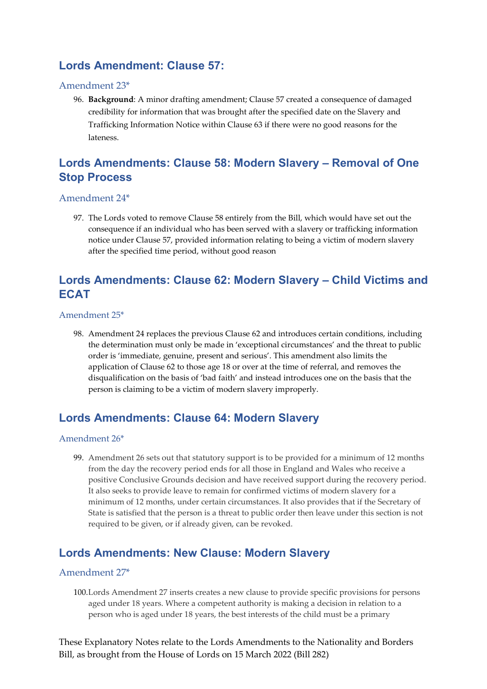# **Lords Amendment: Clause 57:**

#### Amendment 23\*

96. **Background**: A minor drafting amendment; Clause 57 created a consequence of damaged credibility for information that was brought after the specified date on the Slavery and Trafficking Information Notice within Clause 63 if there were no good reasons for the lateness.

### **Lords Amendments: Clause 58: Modern Slavery – Removal of One Stop Process**

#### Amendment 24\*

97. The Lords voted to remove Clause 58 entirely from the Bill, which would have set out the consequence if an individual who has been served with a slavery or trafficking information notice under Clause 57, provided information relating to being a victim of modern slavery after the specified time period, without good reason

# **Lords Amendments: Clause 62: Modern Slavery – Child Victims and ECAT**

#### Amendment 25\*

98. Amendment 24 replaces the previous Clause 62 and introduces certain conditions, including the determination must only be made in 'exceptional circumstances' and the threat to public order is 'immediate, genuine, present and serious'. This amendment also limits the application of Clause 62 to those age 18 or over at the time of referral, and removes the disqualification on the basis of 'bad faith' and instead introduces one on the basis that the person is claiming to be a victim of modern slavery improperly.

### **Lords Amendments: Clause 64: Modern Slavery**

#### Amendment 26\*

99. Amendment 26 sets out that statutory support is to be provided for a minimum of 12 months from the day the recovery period ends for all those in England and Wales who receive a positive Conclusive Grounds decision and have received support during the recovery period. It also seeks to provide leave to remain for confirmed victims of modern slavery for a minimum of 12 months, under certain circumstances. It also provides that if the Secretary of State is satisfied that the person is a threat to public order then leave under this section is not required to be given, or if already given, can be revoked.

### **Lords Amendments: New Clause: Modern Slavery**

#### Amendment 27\*

100.Lords Amendment 27 inserts creates a new clause to provide specific provisions for persons aged under 18 years. Where a competent authority is making a decision in relation to a person who is aged under 18 years, the best interests of the child must be a primary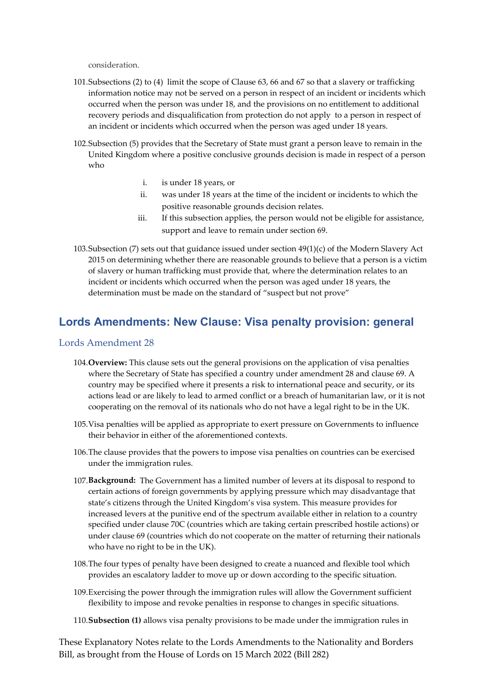consideration.

- 101.Subsections (2) to (4) limit the scope of Clause 63, 66 and 67 so that a slavery or trafficking information notice may not be served on a person in respect of an incident or incidents which occurred when the person was under 18, and the provisions on no entitlement to additional recovery periods and disqualification from protection do not apply to a person in respect of an incident or incidents which occurred when the person was aged under 18 years.
- 102.Subsection (5) provides that the Secretary of State must grant a person leave to remain in the United Kingdom where a positive conclusive grounds decision is made in respect of a person who
	- i. is under 18 years, or
	- ii. was under 18 years at the time of the incident or incidents to which the positive reasonable grounds decision relates.
	- iii. If this subsection applies, the person would not be eligible for assistance, support and leave to remain under section 69.
- 103.Subsection (7) sets out that guidance issued under section 49(1)(c) of the Modern Slavery Act 2015 on determining whether there are reasonable grounds to believe that a person is a victim of slavery or human trafficking must provide that, where the determination relates to an incident or incidents which occurred when the person was aged under 18 years, the determination must be made on the standard of "suspect but not prove"

### **Lords Amendments: New Clause: Visa penalty provision: general**

#### Lords Amendment 28

- 104.**Overview:** This clause sets out the general provisions on the application of visa penalties where the Secretary of State has specified a country under amendment 28 and clause 69. A country may be specified where it presents a risk to international peace and security, or its actions lead or are likely to lead to armed conflict or a breach of humanitarian law, or it is not cooperating on the removal of its nationals who do not have a legal right to be in the UK.
- 105.Visa penalties will be applied as appropriate to exert pressure on Governments to influence their behavior in either of the aforementioned contexts.
- 106.The clause provides that the powers to impose visa penalties on countries can be exercised under the immigration rules.
- 107.**Background:** The Government has a limited number of levers at its disposal to respond to certain actions of foreign governments by applying pressure which may disadvantage that state's citizens through the United Kingdom's visa system. This measure provides for increased levers at the punitive end of the spectrum available either in relation to a country specified under clause 70C (countries which are taking certain prescribed hostile actions) or under clause 69 (countries which do not cooperate on the matter of returning their nationals who have no right to be in the UK).
- 108.The four types of penalty have been designed to create a nuanced and flexible tool which provides an escalatory ladder to move up or down according to the specific situation.
- 109.Exercising the power through the immigration rules will allow the Government sufficient flexibility to impose and revoke penalties in response to changes in specific situations.
- 110.**Subsection (1)** allows visa penalty provisions to be made under the immigration rules in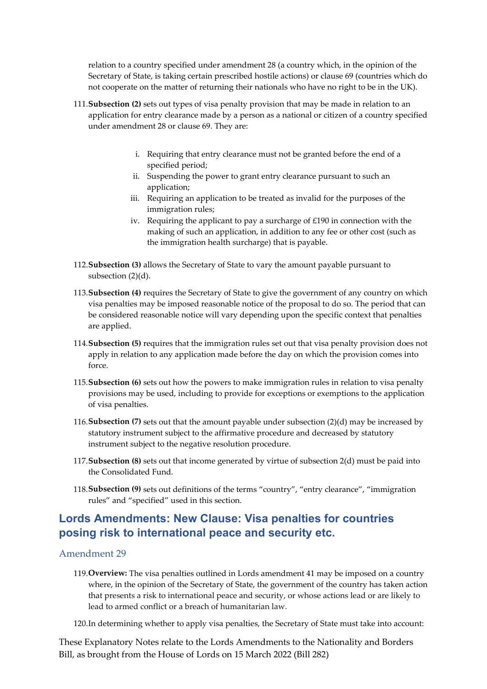relation to a country specified under amendment 28 (a country which, in the opinion of the Secretary of State, is taking certain prescribed hostile actions) or clause 69 (countries which do not cooperate on the matter of returning their nationals who have no right to be in the UK).

- 111.**Subsection (2)** sets out types of visa penalty provision that may be made in relation to an application for entry clearance made by a person as a national or citizen of a country specified under amendment 28 or clause 69. They are:
	- i. Requiring that entry clearance must not be granted before the end of a specified period;
	- ii. Suspending the power to grant entry clearance pursuant to such an application;
	- iii. Requiring an application to be treated as invalid for the purposes of the immigration rules;
	- iv. Requiring the applicant to pay a surcharge of £190 in connection with the making of such an application, in addition to any fee or other cost (such as the immigration health surcharge) that is payable.
- 112.**Subsection (3)** allows the Secretary of State to vary the amount payable pursuant to subsection (2)(d).
- 113.**Subsection (4)** requires the Secretary of State to give the government of any country on which visa penalties may be imposed reasonable notice of the proposal to do so. The period that can be considered reasonable notice will vary depending upon the specific context that penalties are applied.
- 114.**Subsection (5)** requires that the immigration rules set out that visa penalty provision does not apply in relation to any application made before the day on which the provision comes into force.
- 115.**Subsection (6)** sets out how the powers to make immigration rules in relation to visa penalty provisions may be used, including to provide for exceptions or exemptions to the application of visa penalties.
- 116.**Subsection (7)** sets out that the amount payable under subsection (2)(d) may be increased by statutory instrument subject to the affirmative procedure and decreased by statutory instrument subject to the negative resolution procedure.
- 117.**Subsection (8)** sets out that income generated by virtue of subsection 2(d) must be paid into the Consolidated Fund.
- 118.**Subsection (9)** sets out definitions of the terms "country", "entry clearance", "immigration rules" and "specified" used in this section.

# **Lords Amendments: New Clause: Visa penalties for countries posing risk to international peace and security etc.**

#### Amendment 29

- 119.**Overview:** The visa penalties outlined in Lords amendment 41 may be imposed on a country where, in the opinion of the Secretary of State, the government of the country has taken action that presents a risk to international peace and security, or whose actions lead or are likely to lead to armed conflict or a breach of humanitarian law.
- 120.In determining whether to apply visa penalties, the Secretary of State must take into account: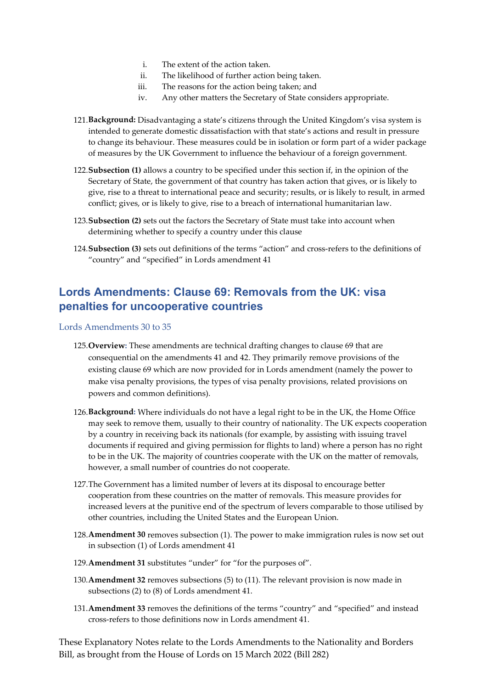- i. The extent of the action taken.
- ii. The likelihood of further action being taken.
- iii. The reasons for the action being taken; and
- iv. Any other matters the Secretary of State considers appropriate.
- 121.**Background:** Disadvantaging a state's citizens through the United Kingdom's visa system is intended to generate domestic dissatisfaction with that state's actions and result in pressure to change its behaviour. These measures could be in isolation or form part of a wider package of measures by the UK Government to influence the behaviour of a foreign government.
- 122.**Subsection (1)** allows a country to be specified under this section if, in the opinion of the Secretary of State, the government of that country has taken action that gives, or is likely to give, rise to a threat to international peace and security; results, or is likely to result, in armed conflict; gives, or is likely to give, rise to a breach of international humanitarian law.
- 123.**Subsection (2)** sets out the factors the Secretary of State must take into account when determining whether to specify a country under this clause
- 124.**Subsection (3)** sets out definitions of the terms "action" and cross-refers to the definitions of "country" and "specified" in Lords amendment 41

# **Lords Amendments: Clause 69: Removals from the UK: visa penalties for uncooperative countries**

Lords Amendments 30 to 35

- 125.**Overview:** These amendments are technical drafting changes to clause 69 that are consequential on the amendments 41 and 42. They primarily remove provisions of the existing clause 69 which are now provided for in Lords amendment (namely the power to make visa penalty provisions, the types of visa penalty provisions, related provisions on powers and common definitions).
- 126.**Background:** Where individuals do not have a legal right to be in the UK, the Home Office may seek to remove them, usually to their country of nationality. The UK expects cooperation by a country in receiving back its nationals (for example, by assisting with issuing travel documents if required and giving permission for flights to land) where a person has no right to be in the UK. The majority of countries cooperate with the UK on the matter of removals, however, a small number of countries do not cooperate.
- 127.The Government has a limited number of levers at its disposal to encourage better cooperation from these countries on the matter of removals. This measure provides for increased levers at the punitive end of the spectrum of levers comparable to those utilised by other countries, including the United States and the European Union.
- 128.**Amendment 30** removes subsection (1). The power to make immigration rules is now set out in subsection (1) of Lords amendment 41
- 129.**Amendment 31** substitutes "under" for "for the purposes of".
- 130.**Amendment 32** removes subsections (5) to (11). The relevant provision is now made in subsections (2) to (8) of Lords amendment 41.
- 131.**Amendment 33** removes the definitions of the terms "country" and "specified" and instead cross-refers to those definitions now in Lords amendment 41.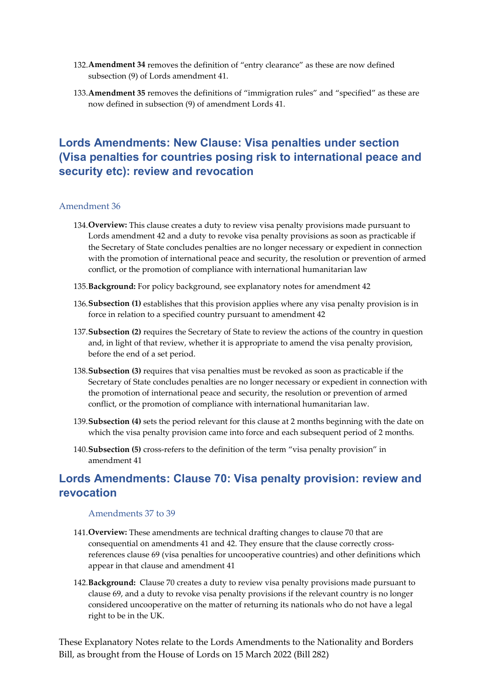- 132.**Amendment 34** removes the definition of "entry clearance" as these are now defined subsection (9) of Lords amendment 41.
- 133.**Amendment 35** removes the definitions of "immigration rules" and "specified" as these are now defined in subsection (9) of amendment Lords 41.

# **Lords Amendments: New Clause: Visa penalties under section (Visa penalties for countries posing risk to international peace and security etc): review and revocation**

#### Amendment 36

- 134.**Overview:** This clause creates a duty to review visa penalty provisions made pursuant to Lords amendment 42 and a duty to revoke visa penalty provisions as soon as practicable if the Secretary of State concludes penalties are no longer necessary or expedient in connection with the promotion of international peace and security, the resolution or prevention of armed conflict, or the promotion of compliance with international humanitarian law
- 135.**Background:** For policy background, see explanatory notes for amendment 42
- 136.**Subsection (1)** establishes that this provision applies where any visa penalty provision is in force in relation to a specified country pursuant to amendment 42
- 137.**Subsection (2)** requires the Secretary of State to review the actions of the country in question and, in light of that review, whether it is appropriate to amend the visa penalty provision, before the end of a set period.
- 138.**Subsection (3)** requires that visa penalties must be revoked as soon as practicable if the Secretary of State concludes penalties are no longer necessary or expedient in connection with the promotion of international peace and security, the resolution or prevention of armed conflict, or the promotion of compliance with international humanitarian law.
- 139.**Subsection (4)** sets the period relevant for this clause at 2 months beginning with the date on which the visa penalty provision came into force and each subsequent period of 2 months.
- 140.**Subsection (5)** cross-refers to the definition of the term "visa penalty provision" in amendment 41

### **Lords Amendments: Clause 70: Visa penalty provision: review and revocation**

#### Amendments 37 to 39

- 141.**Overview:** These amendments are technical drafting changes to clause 70 that are consequential on amendments 41 and 42. They ensure that the clause correctly crossreferences clause 69 (visa penalties for uncooperative countries) and other definitions which appear in that clause and amendment 41
- 142.**Background:** Clause 70 creates a duty to review visa penalty provisions made pursuant to clause 69, and a duty to revoke visa penalty provisions if the relevant country is no longer considered uncooperative on the matter of returning its nationals who do not have a legal right to be in the UK.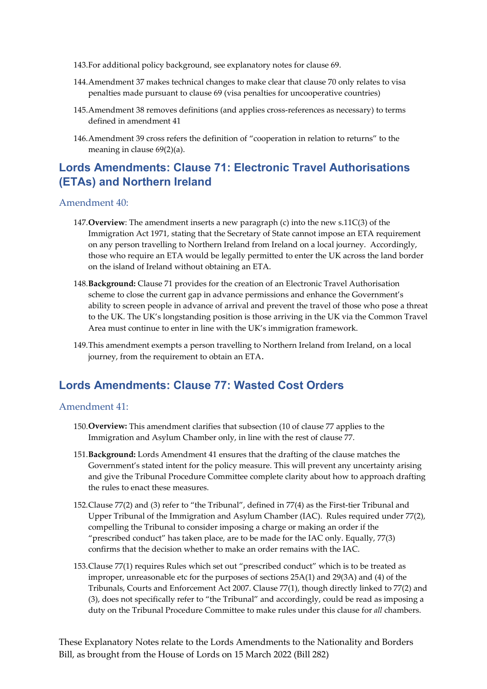- 143.For additional policy background, see explanatory notes for clause 69.
- 144.Amendment 37 makes technical changes to make clear that clause 70 only relates to visa penalties made pursuant to clause 69 (visa penalties for uncooperative countries)
- 145.Amendment 38 removes definitions (and applies cross-references as necessary) to terms defined in amendment 41
- 146.Amendment 39 cross refers the definition of "cooperation in relation to returns" to the meaning in clause 69(2)(a).

# **Lords Amendments: Clause 71: Electronic Travel Authorisations (ETAs) and Northern Ireland**

#### Amendment 40:

- 147.**Overview**: The amendment inserts a new paragraph (c) into the new s.11C(3) of the Immigration Act 1971, stating that the Secretary of State cannot impose an ETA requirement on any person travelling to Northern Ireland from Ireland on a local journey. Accordingly, those who require an ETA would be legally permitted to enter the UK across the land border on the island of Ireland without obtaining an ETA.
- 148.**Background:** Clause 71 provides for the creation of an Electronic Travel Authorisation scheme to close the current gap in advance permissions and enhance the Government's ability to screen people in advance of arrival and prevent the travel of those who pose a threat to the UK. The UK's longstanding position is those arriving in the UK via the Common Travel Area must continue to enter in line with the UK's immigration framework.
- 149.This amendment exempts a person travelling to Northern Ireland from Ireland, on a local journey, from the requirement to obtain an ETA.

### **Lords Amendments: Clause 77: Wasted Cost Orders**

#### Amendment 41:

- 150.**Overview:** This amendment clarifies that subsection (10 of clause 77 applies to the Immigration and Asylum Chamber only, in line with the rest of clause 77.
- 151.**Background:** Lords Amendment 41 ensures that the drafting of the clause matches the Government's stated intent for the policy measure. This will prevent any uncertainty arising and give the Tribunal Procedure Committee complete clarity about how to approach drafting the rules to enact these measures.
- 152.Clause 77(2) and (3) refer to "the Tribunal", defined in 77(4) as the First-tier Tribunal and Upper Tribunal of the Immigration and Asylum Chamber (IAC). Rules required under 77(2), compelling the Tribunal to consider imposing a charge or making an order if the "prescribed conduct" has taken place, are to be made for the IAC only. Equally, 77(3) confirms that the decision whether to make an order remains with the IAC.
- 153.Clause 77(1) requires Rules which set out "prescribed conduct" which is to be treated as improper, unreasonable etc for the purposes of sections 25A(1) and 29(3A) and (4) of the Tribunals, Courts and Enforcement Act 2007. Clause 77(1), though directly linked to 77(2) and (3), does not specifically refer to "the Tribunal" and accordingly, could be read as imposing a duty on the Tribunal Procedure Committee to make rules under this clause for *all* chambers.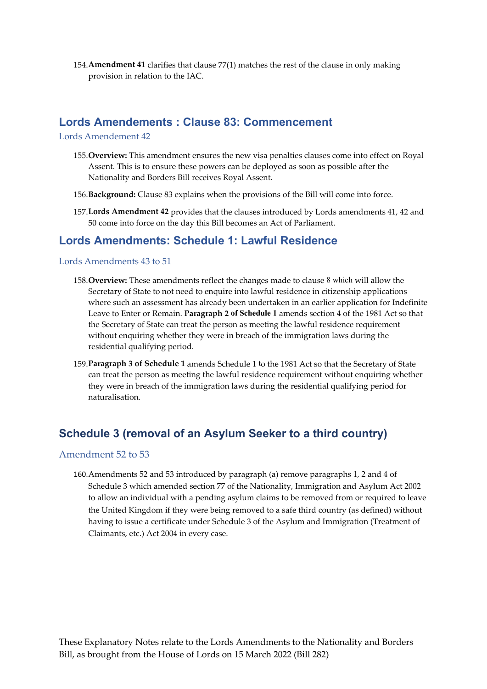154.**Amendment 41** clarifies that clause 77(1) matches the rest of the clause in only making provision in relation to the IAC.

### **Lords Amendements : Clause 83: Commencement**

Lords Amendement 42

- 155.**Overview:** This amendment ensures the new visa penalties clauses come into effect on Royal Assent. This is to ensure these powers can be deployed as soon as possible after the Nationality and Borders Bill receives Royal Assent.
- 156.**Background:** Clause 83 explains when the provisions of the Bill will come into force.
- 157.**Lords Amendment 42** provides that the clauses introduced by Lords amendments 41, 42 and 50 come into force on the day this Bill becomes an Act of Parliament.

### **Lords Amendments: Schedule 1: Lawful Residence**

#### Lords Amendments 43 to 51

- 158.**Overview:** These amendments reflect the changes made to clause 8 which will allow the Secretary of State to not need to enquire into lawful residence in citizenship applications where such an assessment has already been undertaken in an earlier application for Indefinite Leave to Enter or Remain. **Paragraph 2 of Schedule 1** amends section 4 of the 1981 Act so that the Secretary of State can treat the person as meeting the lawful residence requirement without enquiring whether they were in breach of the immigration laws during the residential qualifying period.
- 159.**Paragraph 3 of Schedule 1** amends Schedule 1 to the 1981 Act so that the Secretary of State can treat the person as meeting the lawful residence requirement without enquiring whether they were in breach of the immigration laws during the residential qualifying period for naturalisation.

# **Schedule 3 (removal of an Asylum Seeker to a third country)**

#### Amendment 52 to 53

160.Amendments 52 and 53 introduced by paragraph (a) remove paragraphs 1, 2 and 4 of Schedule 3 which amended section 77 of the Nationality, Immigration and Asylum Act 2002 to allow an individual with a pending asylum claims to be removed from or required to leave the United Kingdom if they were being removed to a safe third country (as defined) without having to issue a certificate under Schedule 3 of the Asylum and Immigration (Treatment of Claimants, etc.) Act 2004 in every case.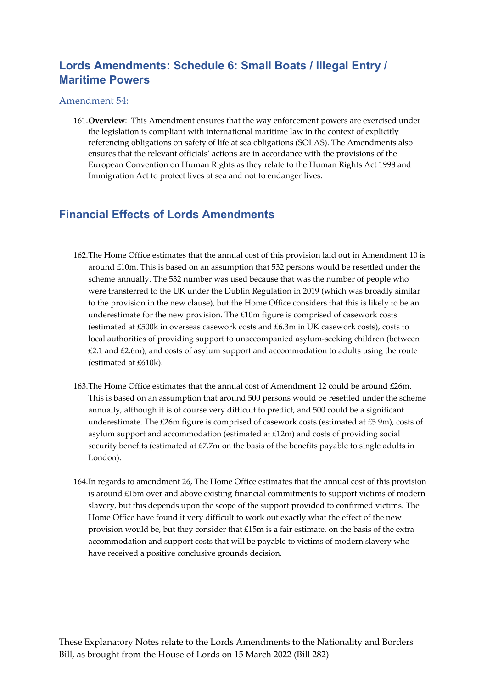# **Lords Amendments: Schedule 6: Small Boats / Illegal Entry / Maritime Powers**

#### Amendment 54:

161.**Overview**: This Amendment ensures that the way enforcement powers are exercised under the legislation is compliant with international maritime law in the context of explicitly referencing obligations on safety of life at sea obligations (SOLAS). The Amendments also ensures that the relevant officials' actions are in accordance with the provisions of the European Convention on Human Rights as they relate to the Human Rights Act 1998 and Immigration Act to protect lives at sea and not to endanger lives.

### **Financial Effects of Lords Amendments**

- 162.The Home Office estimates that the annual cost of this provision laid out in Amendment 10 is around £10m. This is based on an assumption that 532 persons would be resettled under the scheme annually. The 532 number was used because that was the number of people who were transferred to the UK under the Dublin Regulation in 2019 (which was broadly similar to the provision in the new clause), but the Home Office considers that this is likely to be an underestimate for the new provision. The £10m figure is comprised of casework costs (estimated at £500k in overseas casework costs and £6.3m in UK casework costs), costs to local authorities of providing support to unaccompanied asylum-seeking children (between £2.1 and £2.6m), and costs of asylum support and accommodation to adults using the route (estimated at £610k).
- 163.The Home Office estimates that the annual cost of Amendment 12 could be around £26m. This is based on an assumption that around 500 persons would be resettled under the scheme annually, although it is of course very difficult to predict, and 500 could be a significant underestimate. The £26m figure is comprised of casework costs (estimated at £5.9m), costs of asylum support and accommodation (estimated at £12m) and costs of providing social security benefits (estimated at £7.7m on the basis of the benefits payable to single adults in London).
- 164.In regards to amendment 26, The Home Office estimates that the annual cost of this provision is around £15m over and above existing financial commitments to support victims of modern slavery, but this depends upon the scope of the support provided to confirmed victims. The Home Office have found it very difficult to work out exactly what the effect of the new provision would be, but they consider that £15m is a fair estimate, on the basis of the extra accommodation and support costs that will be payable to victims of modern slavery who have received a positive conclusive grounds decision.